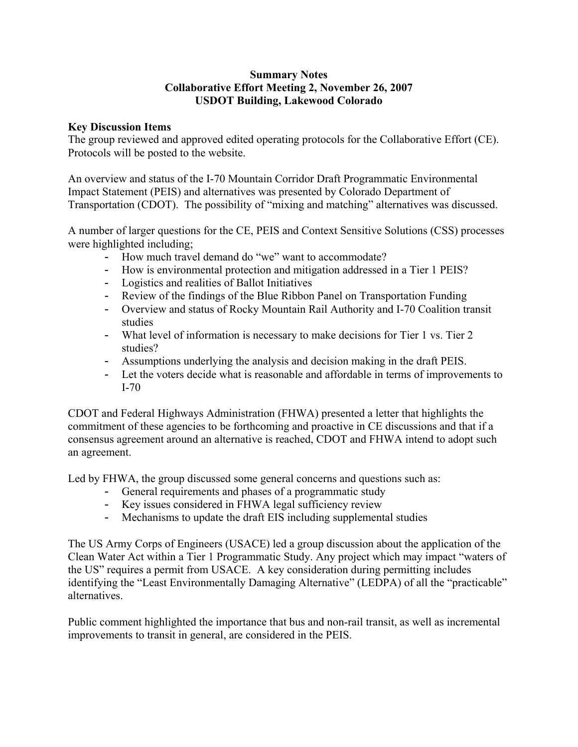## **Summary Notes Collaborative Effort Meeting 2, November 26, 2007 USDOT Building, Lakewood Colorado**

## **Key Discussion Items**

The group reviewed and approved edited operating protocols for the Collaborative Effort (CE). Protocols will be posted to the website.

An overview and status of the I-70 Mountain Corridor Draft Programmatic Environmental Impact Statement (PEIS) and alternatives was presented by Colorado Department of Transportation (CDOT). The possibility of "mixing and matching" alternatives was discussed.

A number of larger questions for the CE, PEIS and Context Sensitive Solutions (CSS) processes were highlighted including;

- How much travel demand do "we" want to accommodate?
- How is environmental protection and mitigation addressed in a Tier 1 PEIS?
- Logistics and realities of Ballot Initiatives
- Review of the findings of the Blue Ribbon Panel on Transportation Funding
- Overview and status of Rocky Mountain Rail Authority and I-70 Coalition transit studies
- What level of information is necessary to make decisions for Tier 1 vs. Tier 2 studies?
- Assumptions underlying the analysis and decision making in the draft PEIS.
- Let the voters decide what is reasonable and affordable in terms of improvements to I-70

CDOT and Federal Highways Administration (FHWA) presented a letter that highlights the commitment of these agencies to be forthcoming and proactive in CE discussions and that if a consensus agreement around an alternative is reached, CDOT and FHWA intend to adopt such an agreement.

Led by FHWA, the group discussed some general concerns and questions such as:

- General requirements and phases of a programmatic study
- Key issues considered in FHWA legal sufficiency review
- Mechanisms to update the draft EIS including supplemental studies

The US Army Corps of Engineers (USACE) led a group discussion about the application of the Clean Water Act within a Tier 1 Programmatic Study. Any project which may impact "waters of the US" requires a permit from USACE. A key consideration during permitting includes identifying the "Least Environmentally Damaging Alternative" (LEDPA) of all the "practicable" alternatives.

Public comment highlighted the importance that bus and non-rail transit, as well as incremental improvements to transit in general, are considered in the PEIS.